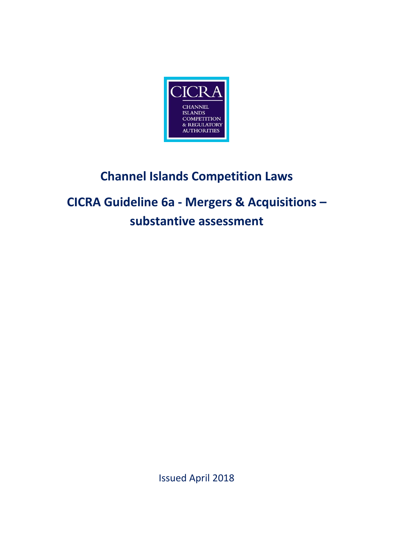

# **Channel Islands Competition Laws**

# **CICRA Guideline 6a - Mergers & Acquisitions – substantive assessment**

Issued April 2018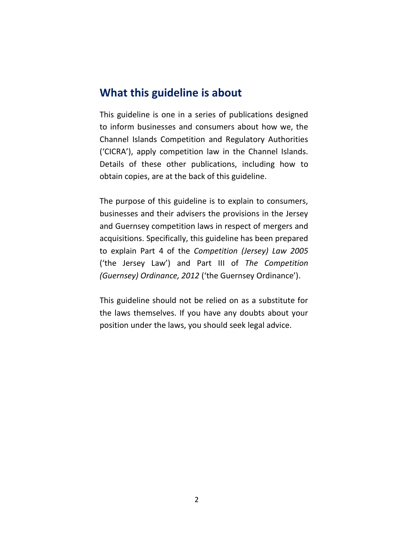### **What this guideline is about**

This guideline is one in a series of publications designed to inform businesses and consumers about how we, the Channel Islands Competition and Regulatory Authorities ('CICRA'), apply competition law in the Channel Islands. Details of these other publications, including how to obtain copies, are at the back of this guideline.

The purpose of this guideline is to explain to consumers, businesses and their advisers the provisions in the Jersey and Guernsey competition laws in respect of mergers and acquisitions. Specifically, this guideline has been prepared to explain Part 4 of the *Competition (Jersey) Law 2005* ('the Jersey Law') and Part III of *The Competition (Guernsey) Ordinance, 2012* ('the Guernsey Ordinance').

This guideline should not be relied on as a substitute for the laws themselves. If you have any doubts about your position under the laws, you should seek legal advice.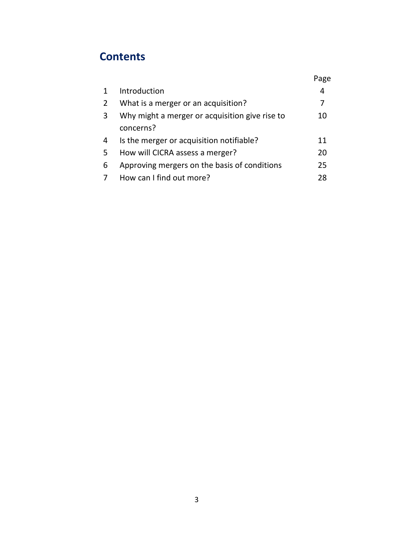## **Contents**

|              |                                                | Page |
|--------------|------------------------------------------------|------|
| $\mathbf{1}$ | Introduction                                   | 4    |
| 2            | What is a merger or an acquisition?            | 7    |
| 3            | Why might a merger or acquisition give rise to | 10   |
|              | concerns?                                      |      |
| 4            | Is the merger or acquisition notifiable?       | 11   |
| 5            | How will CICRA assess a merger?                | 20   |
| 6            | Approving mergers on the basis of conditions   | 25   |
|              | How can I find out more?                       | 28   |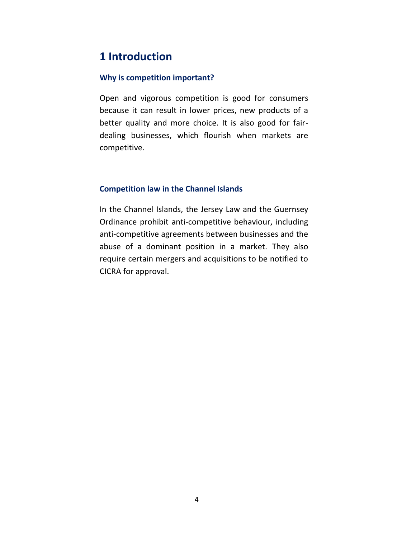### **1 Introduction**

### **Why is competition important?**

Open and vigorous competition is good for consumers because it can result in lower prices, new products of a better quality and more choice. It is also good for fairdealing businesses, which flourish when markets are competitive.

### **Competition law in the Channel Islands**

In the Channel Islands, the Jersey Law and the Guernsey Ordinance prohibit anti-competitive behaviour, including anti-competitive agreements between businesses and the abuse of a dominant position in a market. They also require certain mergers and acquisitions to be notified to CICRA for approval.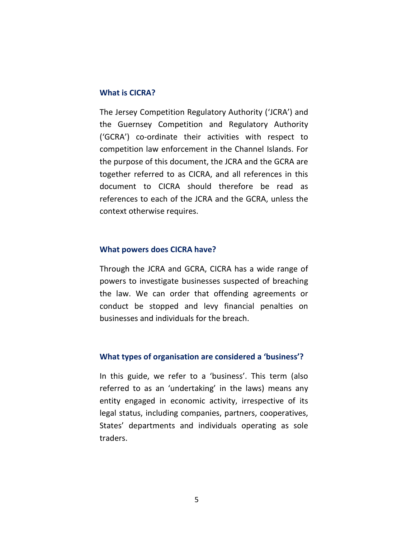#### **What is CICRA?**

The Jersey Competition Regulatory Authority ('JCRA') and the Guernsey Competition and Regulatory Authority ('GCRA') co-ordinate their activities with respect to competition law enforcement in the Channel Islands. For the purpose of this document, the JCRA and the GCRA are together referred to as CICRA, and all references in this document to CICRA should therefore be read as references to each of the JCRA and the GCRA, unless the context otherwise requires.

#### **What powers does CICRA have?**

Through the JCRA and GCRA, CICRA has a wide range of powers to investigate businesses suspected of breaching the law. We can order that offending agreements or conduct be stopped and levy financial penalties on businesses and individuals for the breach.

#### **What types of organisation are considered a 'business'?**

In this guide, we refer to a 'business'. This term (also referred to as an 'undertaking' in the laws) means any entity engaged in economic activity, irrespective of its legal status, including companies, partners, cooperatives, States' departments and individuals operating as sole traders.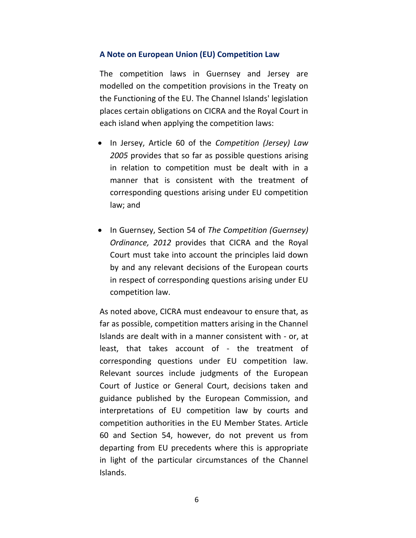### **A Note on European Union (EU) Competition Law**

The competition laws in Guernsey and Jersey are modelled on the competition provisions in the Treaty on the Functioning of the EU. The Channel Islands' legislation places certain obligations on CICRA and the Royal Court in each island when applying the competition laws:

- In Jersey, Article 60 of the *Competition (Jersey) Law 2005* provides that so far as possible questions arising in relation to competition must be dealt with in a manner that is consistent with the treatment of corresponding questions arising under EU competition law; and
- In Guernsey, Section 54 of *The Competition (Guernsey) Ordinance, 2012* provides that CICRA and the Royal Court must take into account the principles laid down by and any relevant decisions of the European courts in respect of corresponding questions arising under EU competition law.

As noted above, CICRA must endeavour to ensure that, as far as possible, competition matters arising in the Channel Islands are dealt with in a manner consistent with - or, at least, that takes account of - the treatment of corresponding questions under EU competition law. Relevant sources include judgments of the European Court of Justice or General Court, decisions taken and guidance published by the European Commission, and interpretations of EU competition law by courts and competition authorities in the EU Member States. Article 60 and Section 54, however, do not prevent us from departing from EU precedents where this is appropriate in light of the particular circumstances of the Channel Islands.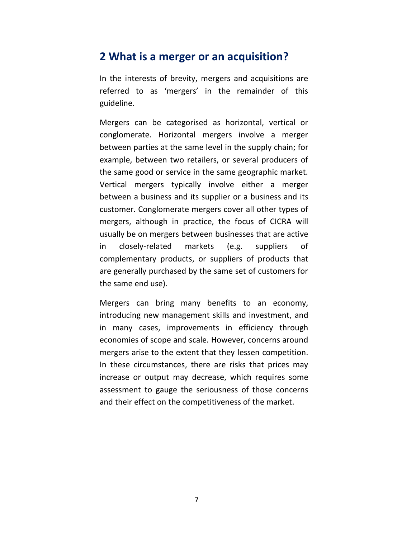### **2 What is a merger or an acquisition?**

In the interests of brevity, mergers and acquisitions are referred to as 'mergers' in the remainder of this guideline.

Mergers can be categorised as horizontal, vertical or conglomerate. Horizontal mergers involve a merger between parties at the same level in the supply chain; for example, between two retailers, or several producers of the same good or service in the same geographic market. Vertical mergers typically involve either a merger between a business and its supplier or a business and its customer. Conglomerate mergers cover all other types of mergers, although in practice, the focus of CICRA will usually be on mergers between businesses that are active in closely-related markets (e.g. suppliers of complementary products, or suppliers of products that are generally purchased by the same set of customers for the same end use).

Mergers can bring many benefits to an economy, introducing new management skills and investment, and in many cases, improvements in efficiency through economies of scope and scale. However, concerns around mergers arise to the extent that they lessen competition. In these circumstances, there are risks that prices may increase or output may decrease, which requires some assessment to gauge the seriousness of those concerns and their effect on the competitiveness of the market.

7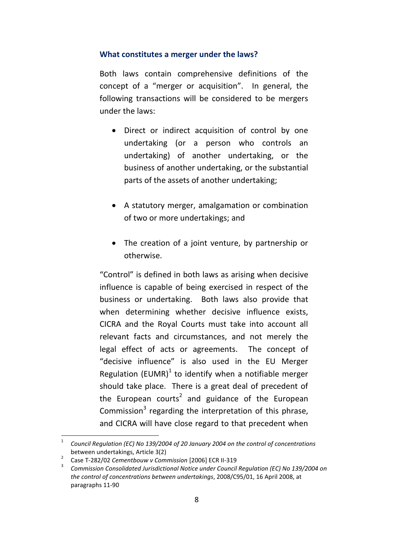### **What constitutes a merger under the laws?**

Both laws contain comprehensive definitions of the concept of a "merger or acquisition". In general, the following transactions will be considered to be mergers under the laws:

- Direct or indirect acquisition of control by one undertaking (or a person who controls an undertaking) of another undertaking, or the business of another undertaking, or the substantial parts of the assets of another undertaking;
- A statutory merger, amalgamation or combination of two or more undertakings; and
- The creation of a joint venture, by partnership or otherwise.

"Control" is defined in both laws as arising when decisive influence is capable of being exercised in respect of the business or undertaking. Both laws also provide that when determining whether decisive influence exists, CICRA and the Royal Courts must take into account all relevant facts and circumstances, and not merely the legal effect of acts or agreements. The concept of "decisive influence" is also used in the EU Merger Regulation (EUMR)<sup>1</sup> to identify when a notifiable merger should take place. There is a great deal of precedent of the European courts<sup>2</sup> and guidance of the European Commission<sup>3</sup> regarding the interpretation of this phrase, and CICRA will have close regard to that precedent when

 $\overline{a}$ 1 *Council Regulation (EC) No 139/2004 of 20 January 2004 on the control of concentrations* between undertakings, Article 3(2)

<sup>2</sup> Case T-282/02 *Cementbouw v Commission* [2006] ECR II-319

<sup>3</sup> *Commission Consolidated Jurisdictional Notice under Council Regulation (EC) No 139/2004 on the control of concentrations between undertakings*, 2008/C95/01, 16 April 2008, at paragraphs 11-90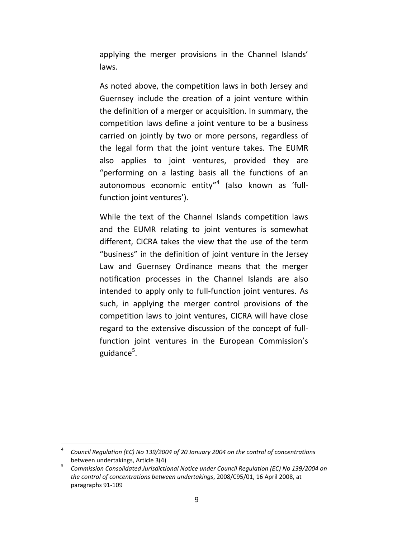applying the merger provisions in the Channel Islands' laws.

As noted above, the competition laws in both Jersey and Guernsey include the creation of a joint venture within the definition of a merger or acquisition. In summary, the competition laws define a joint venture to be a business carried on jointly by two or more persons, regardless of the legal form that the joint venture takes. The EUMR also applies to joint ventures, provided they are "performing on a lasting basis all the functions of an autonomous economic entity"<sup>4</sup> (also known as 'fullfunction joint ventures').

While the text of the Channel Islands competition laws and the EUMR relating to joint ventures is somewhat different, CICRA takes the view that the use of the term "business" in the definition of joint venture in the Jersey Law and Guernsey Ordinance means that the merger notification processes in the Channel Islands are also intended to apply only to full-function joint ventures. As such, in applying the merger control provisions of the competition laws to joint ventures, CICRA will have close regard to the extensive discussion of the concept of fullfunction joint ventures in the European Commission's guidance<sup>5</sup>.

<sup>4</sup> *Council Regulation (EC) No 139/2004 of 20 January 2004 on the control of concentrations* between undertakings, Article 3(4)

<sup>5</sup> *Commission Consolidated Jurisdictional Notice under Council Regulation (EC) No 139/2004 on the control of concentrations between undertakings*, 2008/C95/01, 16 April 2008, at paragraphs 91-109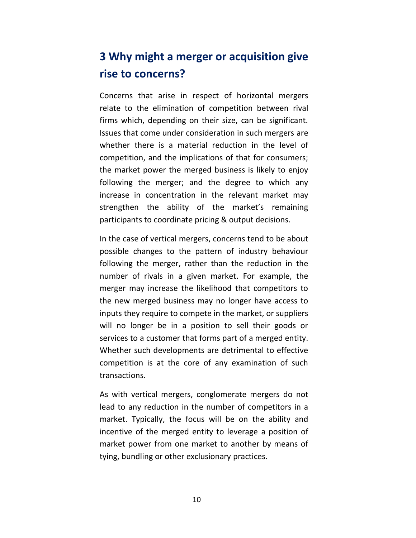# **3 Why might a merger or acquisition give rise to concerns?**

Concerns that arise in respect of horizontal mergers relate to the elimination of competition between rival firms which, depending on their size, can be significant. Issues that come under consideration in such mergers are whether there is a material reduction in the level of competition, and the implications of that for consumers; the market power the merged business is likely to enjoy following the merger; and the degree to which any increase in concentration in the relevant market may strengthen the ability of the market's remaining participants to coordinate pricing & output decisions.

In the case of vertical mergers, concerns tend to be about possible changes to the pattern of industry behaviour following the merger, rather than the reduction in the number of rivals in a given market. For example, the merger may increase the likelihood that competitors to the new merged business may no longer have access to inputs they require to compete in the market, or suppliers will no longer be in a position to sell their goods or services to a customer that forms part of a merged entity. Whether such developments are detrimental to effective competition is at the core of any examination of such transactions.

As with vertical mergers, conglomerate mergers do not lead to any reduction in the number of competitors in a market. Typically, the focus will be on the ability and incentive of the merged entity to leverage a position of market power from one market to another by means of tying, bundling or other exclusionary practices.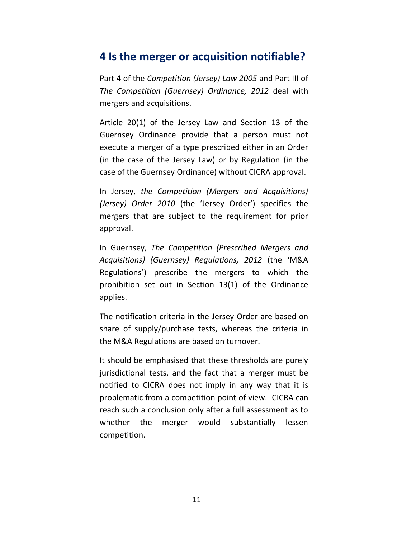### **4 Is the merger or acquisition notifiable?**

Part 4 of the *Competition (Jersey) Law 2005* and Part III of *The Competition (Guernsey) Ordinance, 2012* deal with mergers and acquisitions.

Article 20(1) of the Jersey Law and Section 13 of the Guernsey Ordinance provide that a person must not execute a merger of a type prescribed either in an Order (in the case of the Jersey Law) or by Regulation (in the case of the Guernsey Ordinance) without CICRA approval.

In Jersey, *the Competition (Mergers and Acquisitions) (Jersey) Order 2010* (the 'Jersey Order') specifies the mergers that are subject to the requirement for prior approval.

In Guernsey, *The Competition (Prescribed Mergers and Acquisitions) (Guernsey) Regulations, 2012* (the 'M&A Regulations') prescribe the mergers to which the prohibition set out in Section 13(1) of the Ordinance applies.

The notification criteria in the Jersey Order are based on share of supply/purchase tests, whereas the criteria in the M&A Regulations are based on turnover.

It should be emphasised that these thresholds are purely jurisdictional tests, and the fact that a merger must be notified to CICRA does not imply in any way that it is problematic from a competition point of view. CICRA can reach such a conclusion only after a full assessment as to whether the merger would substantially lessen competition.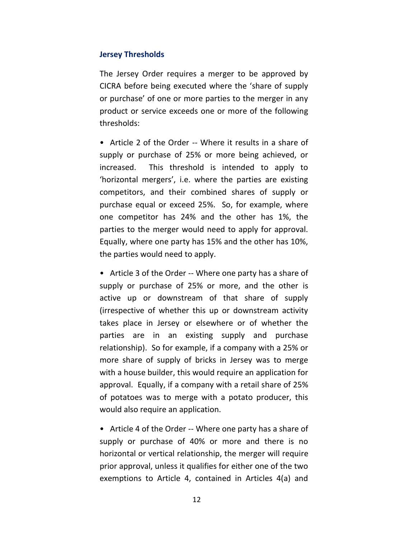### **Jersey Thresholds**

The Jersey Order requires a merger to be approved by CICRA before being executed where the 'share of supply or purchase' of one or more parties to the merger in any product or service exceeds one or more of the following thresholds:

• Article 2 of the Order -- Where it results in a share of supply or purchase of 25% or more being achieved, or increased. This threshold is intended to apply to 'horizontal mergers', i.e. where the parties are existing competitors, and their combined shares of supply or purchase equal or exceed 25%. So, for example, where one competitor has 24% and the other has 1%, the parties to the merger would need to apply for approval. Equally, where one party has 15% and the other has 10%, the parties would need to apply.

• Article 3 of the Order -- Where one party has a share of supply or purchase of 25% or more, and the other is active up or downstream of that share of supply (irrespective of whether this up or downstream activity takes place in Jersey or elsewhere or of whether the parties are in an existing supply and purchase relationship). So for example, if a company with a 25% or more share of supply of bricks in Jersey was to merge with a house builder, this would require an application for approval. Equally, if a company with a retail share of 25% of potatoes was to merge with a potato producer, this would also require an application.

• Article 4 of the Order -- Where one party has a share of supply or purchase of 40% or more and there is no horizontal or vertical relationship, the merger will require prior approval, unless it qualifies for either one of the two exemptions to Article 4, contained in Articles 4(a) and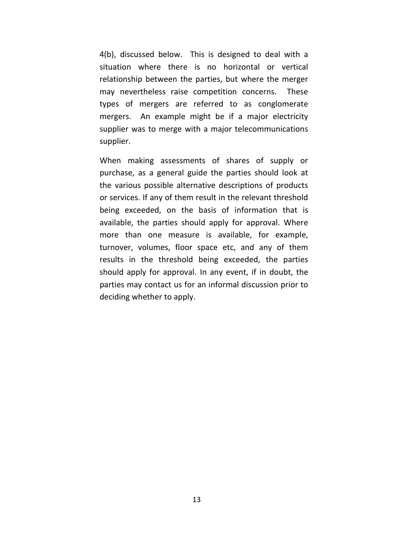4(b), discussed below. This is designed to deal with a situation where there is no horizontal or vertical relationship between the parties, but where the merger may nevertheless raise competition concerns. These types of mergers are referred to as conglomerate mergers. An example might be if a major electricity supplier was to merge with a major telecommunications supplier.

When making assessments of shares of supply or purchase, as a general guide the parties should look at the various possible alternative descriptions of products or services. If any of them result in the relevant threshold being exceeded, on the basis of information that is available, the parties should apply for approval. Where more than one measure is available, for example, turnover, volumes, floor space etc, and any of them results in the threshold being exceeded, the parties should apply for approval. In any event, if in doubt, the parties may contact us for an informal discussion prior to deciding whether to apply.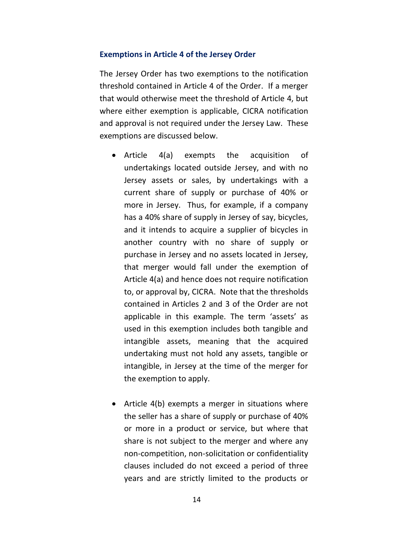#### **Exemptions in Article 4 of the Jersey Order**

The Jersey Order has two exemptions to the notification threshold contained in Article 4 of the Order. If a merger that would otherwise meet the threshold of Article 4, but where either exemption is applicable, CICRA notification and approval is not required under the Jersey Law. These exemptions are discussed below.

- Article 4(a) exempts the acquisition of undertakings located outside Jersey, and with no Jersey assets or sales, by undertakings with a current share of supply or purchase of 40% or more in Jersey. Thus, for example, if a company has a 40% share of supply in Jersey of say, bicycles, and it intends to acquire a supplier of bicycles in another country with no share of supply or purchase in Jersey and no assets located in Jersey, that merger would fall under the exemption of Article 4(a) and hence does not require notification to, or approval by, CICRA. Note that the thresholds contained in Articles 2 and 3 of the Order are not applicable in this example. The term 'assets' as used in this exemption includes both tangible and intangible assets, meaning that the acquired undertaking must not hold any assets, tangible or intangible, in Jersey at the time of the merger for the exemption to apply.
- Article 4(b) exempts a merger in situations where the seller has a share of supply or purchase of 40% or more in a product or service, but where that share is not subject to the merger and where any non-competition, non-solicitation or confidentiality clauses included do not exceed a period of three years and are strictly limited to the products or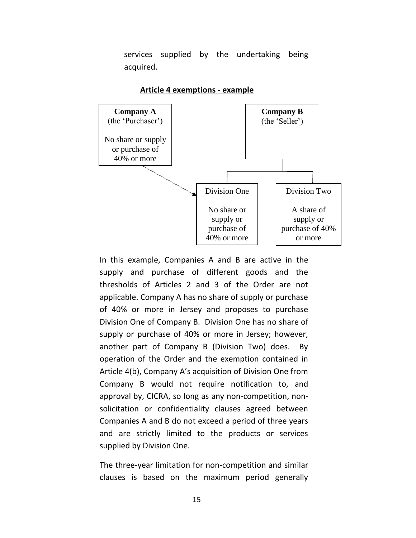services supplied by the undertaking being acquired.



#### **Article 4 exemptions - example**

In this example, Companies A and B are active in the supply and purchase of different goods and the thresholds of Articles 2 and 3 of the Order are not applicable. Company A has no share of supply or purchase of 40% or more in Jersey and proposes to purchase Division One of Company B. Division One has no share of supply or purchase of 40% or more in Jersey; however, another part of Company B (Division Two) does. By operation of the Order and the exemption contained in Article 4(b), Company A's acquisition of Division One from Company B would not require notification to, and approval by, CICRA, so long as any non-competition, nonsolicitation or confidentiality clauses agreed between Companies A and B do not exceed a period of three years and are strictly limited to the products or services supplied by Division One.

The three-year limitation for non-competition and similar clauses is based on the maximum period generally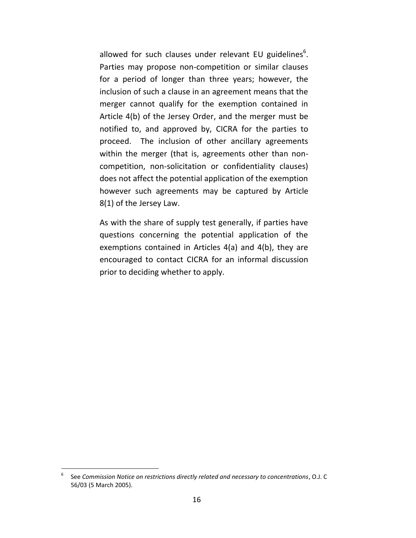allowed for such clauses under relevant EU guidelines<sup>6</sup>. Parties may propose non-competition or similar clauses for a period of longer than three years; however, the inclusion of such a clause in an agreement means that the merger cannot qualify for the exemption contained in Article 4(b) of the Jersey Order, and the merger must be notified to, and approved by, CICRA for the parties to proceed. The inclusion of other ancillary agreements within the merger (that is, agreements other than noncompetition, non-solicitation or confidentiality clauses) does not affect the potential application of the exemption however such agreements may be captured by Article 8(1) of the Jersey Law.

As with the share of supply test generally, if parties have questions concerning the potential application of the exemptions contained in Articles 4(a) and 4(b), they are encouraged to contact CICRA for an informal discussion prior to deciding whether to apply.

<sup>6</sup> See *Commission Notice on restrictions directly related and necessary to concentrations*, O.J. C 56/03 (5 March 2005).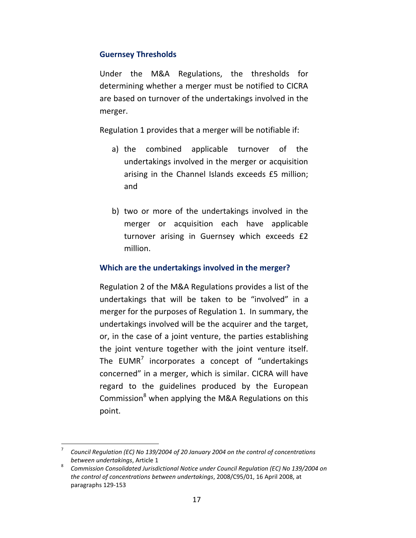### **Guernsey Thresholds**

Under the M&A Regulations, the thresholds for determining whether a merger must be notified to CICRA are based on turnover of the undertakings involved in the merger.

Regulation 1 provides that a merger will be notifiable if:

- a) the combined applicable turnover of the undertakings involved in the merger or acquisition arising in the Channel Islands exceeds £5 million; and
- b) two or more of the undertakings involved in the merger or acquisition each have applicable turnover arising in Guernsey which exceeds £2 million.

### **Which are the undertakings involved in the merger?**

Regulation 2 of the M&A Regulations provides a list of the undertakings that will be taken to be "involved" in a merger for the purposes of Regulation 1. In summary, the undertakings involved will be the acquirer and the target, or, in the case of a joint venture, the parties establishing the joint venture together with the joint venture itself. The  $EUMR<sup>7</sup>$  incorporates a concept of "undertakings concerned" in a merger, which is similar. CICRA will have regard to the guidelines produced by the European Commission<sup>8</sup> when applying the M&A Regulations on this point.

<sup>7</sup> *Council Regulation (EC) No 139/2004 of 20 January 2004 on the control of concentrations between undertakings*, Article 1

<sup>8</sup> *Commission Consolidated Jurisdictional Notice under Council Regulation (EC) No 139/2004 on the control of concentrations between undertakings*, 2008/C95/01, 16 April 2008, at paragraphs 129-153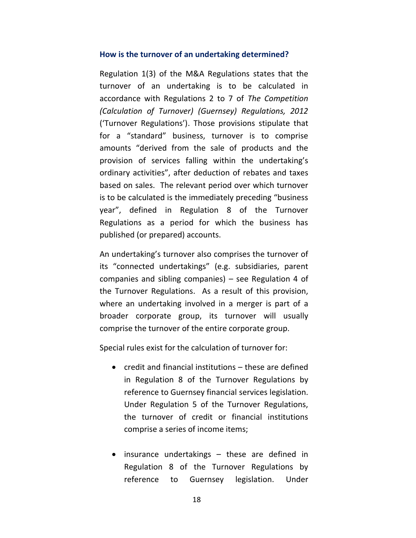#### **How is the turnover of an undertaking determined?**

Regulation 1(3) of the M&A Regulations states that the turnover of an undertaking is to be calculated in accordance with Regulations 2 to 7 of *The Competition (Calculation of Turnover) (Guernsey) Regulations, 2012* ('Turnover Regulations'). Those provisions stipulate that for a "standard" business, turnover is to comprise amounts "derived from the sale of products and the provision of services falling within the undertaking's ordinary activities", after deduction of rebates and taxes based on sales. The relevant period over which turnover is to be calculated is the immediately preceding "business year", defined in Regulation 8 of the Turnover Regulations as a period for which the business has published (or prepared) accounts.

An undertaking's turnover also comprises the turnover of its "connected undertakings" (e.g. subsidiaries, parent companies and sibling companies) – see Regulation 4 of the Turnover Regulations. As a result of this provision, where an undertaking involved in a merger is part of a broader corporate group, its turnover will usually comprise the turnover of the entire corporate group.

Special rules exist for the calculation of turnover for:

- credit and financial institutions these are defined in Regulation 8 of the Turnover Regulations by reference to Guernsey financial services legislation. Under Regulation 5 of the Turnover Regulations, the turnover of credit or financial institutions comprise a series of income items;
- insurance undertakings these are defined in Regulation 8 of the Turnover Regulations by reference to Guernsey legislation. Under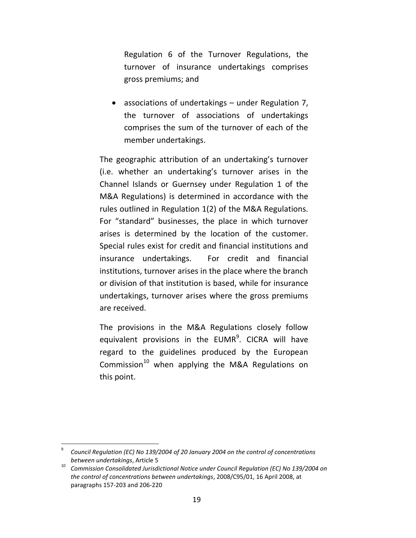Regulation 6 of the Turnover Regulations, the turnover of insurance undertakings comprises gross premiums; and

 associations of undertakings – under Regulation 7, the turnover of associations of undertakings comprises the sum of the turnover of each of the member undertakings.

The geographic attribution of an undertaking's turnover (i.e. whether an undertaking's turnover arises in the Channel Islands or Guernsey under Regulation 1 of the M&A Regulations) is determined in accordance with the rules outlined in Regulation 1(2) of the M&A Regulations. For "standard" businesses, the place in which turnover arises is determined by the location of the customer. Special rules exist for credit and financial institutions and insurance undertakings. For credit and financial institutions, turnover arises in the place where the branch or division of that institution is based, while for insurance undertakings, turnover arises where the gross premiums are received.

The provisions in the M&A Regulations closely follow equivalent provisions in the EUMR<sup>9</sup>. CICRA will have regard to the guidelines produced by the European Commission<sup>10</sup> when applying the M&A Regulations on this point.

<sup>9</sup> *Council Regulation (EC) No 139/2004 of 20 January 2004 on the control of concentrations between undertakings*, Article 5

<sup>10</sup> *Commission Consolidated Jurisdictional Notice under Council Regulation (EC) No 139/2004 on the control of concentrations between undertakings*, 2008/C95/01, 16 April 2008, at paragraphs 157-203 and 206-220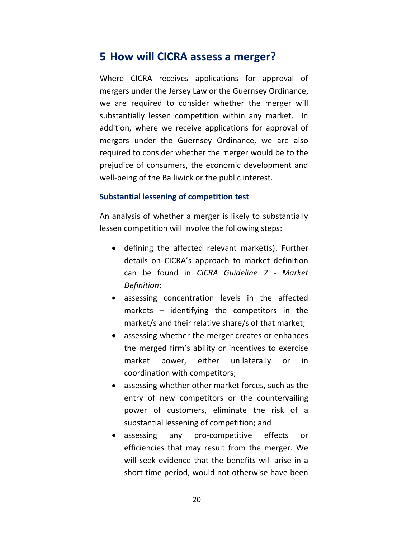### **5 How will CICRA assess a merger?**

Where CICRA receives applications for approval of mergers under the Jersey Law or the Guernsey Ordinance, we are required to consider whether the merger will substantially lessen competition within any market. In addition, where we receive applications for approval of mergers under the Guernsey Ordinance, we are also required to consider whether the merger would be to the prejudice of consumers, the economic development and well-being of the Bailiwick or the public interest.

### **Substantial lessening of competition test**

An analysis of whether a merger is likely to substantially lessen competition will involve the following steps:

- defining the affected relevant market(s). Further details on CICRA's approach to market definition can be found in *CICRA Guideline 7 - Market Definition*;
- assessing concentration levels in the affected markets – identifying the competitors in the market/s and their relative share/s of that market;
- assessing whether the merger creates or enhances the merged firm's ability or incentives to exercise market power, either unilaterally or in coordination with competitors;
- assessing whether other market forces, such as the entry of new competitors or the countervailing power of customers, eliminate the risk of a substantial lessening of competition; and
- assessing any pro-competitive effects or efficiencies that may result from the merger. We will seek evidence that the benefits will arise in a short time period, would not otherwise have been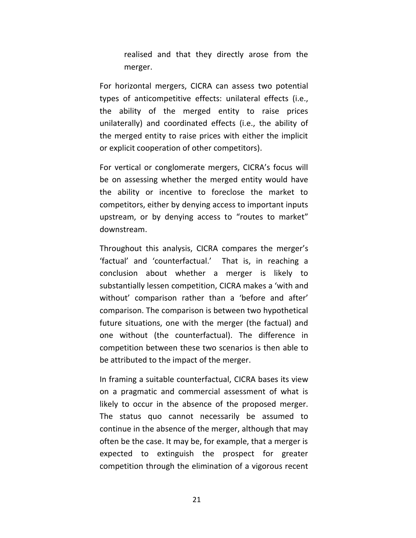realised and that they directly arose from the merger.

For horizontal mergers, CICRA can assess two potential types of anticompetitive effects: unilateral effects (i.e., the ability of the merged entity to raise prices unilaterally) and coordinated effects (i.e., the ability of the merged entity to raise prices with either the implicit or explicit cooperation of other competitors).

For vertical or conglomerate mergers, CICRA's focus will be on assessing whether the merged entity would have the ability or incentive to foreclose the market to competitors, either by denying access to important inputs upstream, or by denying access to "routes to market" downstream.

Throughout this analysis, CICRA compares the merger's 'factual' and 'counterfactual.' That is, in reaching a conclusion about whether a merger is likely to substantially lessen competition, CICRA makes a 'with and without' comparison rather than a 'before and after' comparison. The comparison is between two hypothetical future situations, one with the merger (the factual) and one without (the counterfactual). The difference in competition between these two scenarios is then able to be attributed to the impact of the merger.

In framing a suitable counterfactual, CICRA bases its view on a pragmatic and commercial assessment of what is likely to occur in the absence of the proposed merger. The status quo cannot necessarily be assumed to continue in the absence of the merger, although that may often be the case. It may be, for example, that a merger is expected to extinguish the prospect for greater competition through the elimination of a vigorous recent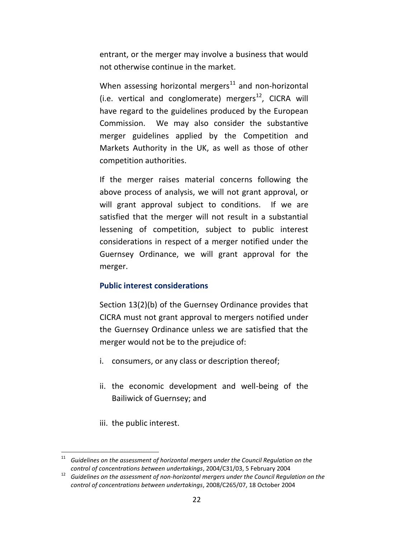entrant, or the merger may involve a business that would not otherwise continue in the market.

When assessing horizontal mergers $^{11}$  and non-horizontal (i.e. vertical and conglomerate) mergers $^{12}$ , CICRA will have regard to the guidelines produced by the European Commission. We may also consider the substantive merger guidelines applied by the Competition and Markets Authority in the UK, as well as those of other competition authorities.

If the merger raises material concerns following the above process of analysis, we will not grant approval, or will grant approval subject to conditions. If we are satisfied that the merger will not result in a substantial lessening of competition, subject to public interest considerations in respect of a merger notified under the Guernsey Ordinance, we will grant approval for the merger.

### **Public interest considerations**

Section 13(2)(b) of the Guernsey Ordinance provides that CICRA must not grant approval to mergers notified under the Guernsey Ordinance unless we are satisfied that the merger would not be to the prejudice of:

- i. consumers, or any class or description thereof;
- ii. the economic development and well-being of the Bailiwick of Guernsey; and
- iii. the public interest.

<sup>&</sup>lt;sup>11</sup> Guidelines on the assessment of horizontal mergers under the Council Regulation on the *control of concentrations between undertakings*, 2004/C31/03, 5 February 2004

<sup>12</sup> *Guidelines on the assessment of non-horizontal mergers under the Council Regulation on the control of concentrations between undertakings*, 2008/C265/07, 18 October 2004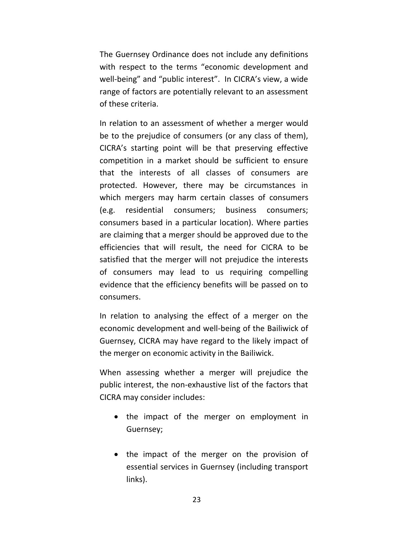The Guernsey Ordinance does not include any definitions with respect to the terms "economic development and well-being" and "public interest". In CICRA's view, a wide range of factors are potentially relevant to an assessment of these criteria.

In relation to an assessment of whether a merger would be to the prejudice of consumers (or any class of them), CICRA's starting point will be that preserving effective competition in a market should be sufficient to ensure that the interests of all classes of consumers are protected. However, there may be circumstances in which mergers may harm certain classes of consumers (e.g. residential consumers; business consumers; consumers based in a particular location). Where parties are claiming that a merger should be approved due to the efficiencies that will result, the need for CICRA to be satisfied that the merger will not prejudice the interests of consumers may lead to us requiring compelling evidence that the efficiency benefits will be passed on to consumers.

In relation to analysing the effect of a merger on the economic development and well-being of the Bailiwick of Guernsey, CICRA may have regard to the likely impact of the merger on economic activity in the Bailiwick.

When assessing whether a merger will prejudice the public interest, the non-exhaustive list of the factors that CICRA may consider includes:

- the impact of the merger on employment in Guernsey;
- the impact of the merger on the provision of essential services in Guernsey (including transport links).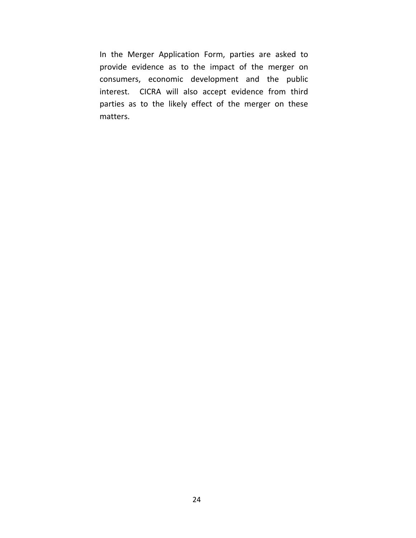In the Merger Application Form, parties are asked to provide evidence as to the impact of the merger on consumers, economic development and the public interest. CICRA will also accept evidence from third parties as to the likely effect of the merger on these matters.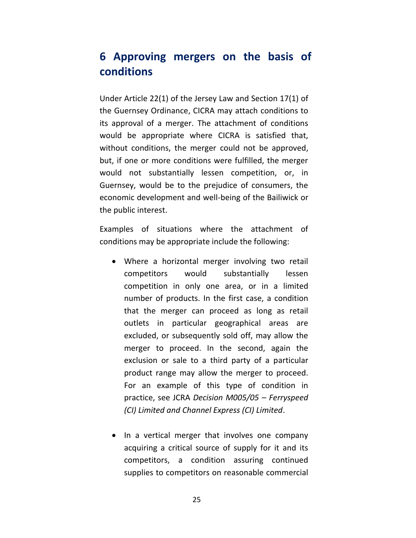## **6 Approving mergers on the basis of conditions**

Under Article 22(1) of the Jersey Law and Section 17(1) of the Guernsey Ordinance, CICRA may attach conditions to its approval of a merger. The attachment of conditions would be appropriate where CICRA is satisfied that, without conditions, the merger could not be approved, but, if one or more conditions were fulfilled, the merger would not substantially lessen competition, or, in Guernsey, would be to the prejudice of consumers, the economic development and well-being of the Bailiwick or the public interest.

Examples of situations where the attachment of conditions may be appropriate include the following:

- Where a horizontal merger involving two retail competitors would substantially lessen competition in only one area, or in a limited number of products. In the first case, a condition that the merger can proceed as long as retail outlets in particular geographical areas are excluded, or subsequently sold off, may allow the merger to proceed. In the second, again the exclusion or sale to a third party of a particular product range may allow the merger to proceed. For an example of this type of condition in practice, see JCRA *Decision M005/05 – Ferryspeed (CI) Limited and Channel Express (CI) Limited*.
- In a vertical merger that involves one company acquiring a critical source of supply for it and its competitors, a condition assuring continued supplies to competitors on reasonable commercial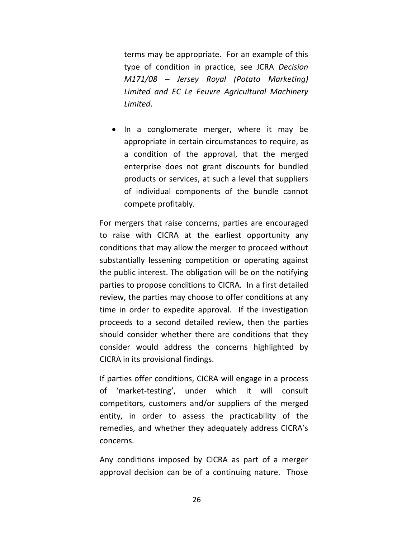terms may be appropriate. For an example of this type of condition in practice, see JCRA *Decision M171/08 – Jersey Royal (Potato Marketing) Limited and EC Le Feuvre Agricultural Machinery Limited*.

• In a conglomerate merger, where it may be appropriate in certain circumstances to require, as a condition of the approval, that the merged enterprise does not grant discounts for bundled products or services, at such a level that suppliers of individual components of the bundle cannot compete profitably.

For mergers that raise concerns, parties are encouraged to raise with CICRA at the earliest opportunity any conditions that may allow the merger to proceed without substantially lessening competition or operating against the public interest. The obligation will be on the notifying parties to propose conditions to CICRA. In a first detailed review, the parties may choose to offer conditions at any time in order to expedite approval. If the investigation proceeds to a second detailed review, then the parties should consider whether there are conditions that they consider would address the concerns highlighted by CICRA in its provisional findings.

If parties offer conditions, CICRA will engage in a process of 'market-testing', under which it will consult competitors, customers and/or suppliers of the merged entity, in order to assess the practicability of the remedies, and whether they adequately address CICRA's concerns.

Any conditions imposed by CICRA as part of a merger approval decision can be of a continuing nature. Those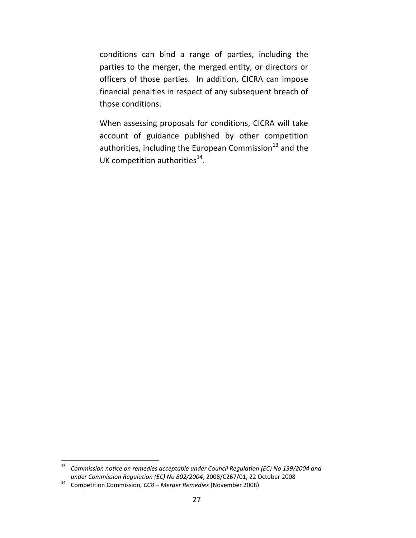conditions can bind a range of parties, including the parties to the merger, the merged entity, or directors or officers of those parties. In addition, CICRA can impose financial penalties in respect of any subsequent breach of those conditions.

When assessing proposals for conditions, CICRA will take account of guidance published by other competition authorities, including the European Commission $^{13}$  and the UK competition authorities $^{14}$ .

<sup>13</sup> *Commission notice on remedies acceptable under Council Regulation (EC) No 139/2004 and under Commission Regulation (EC) No 802/2004*, 2008/C267/01, 22 October 2008

<sup>14</sup> Competition Commission, *CC8 – Merger Remedies* (November 2008)